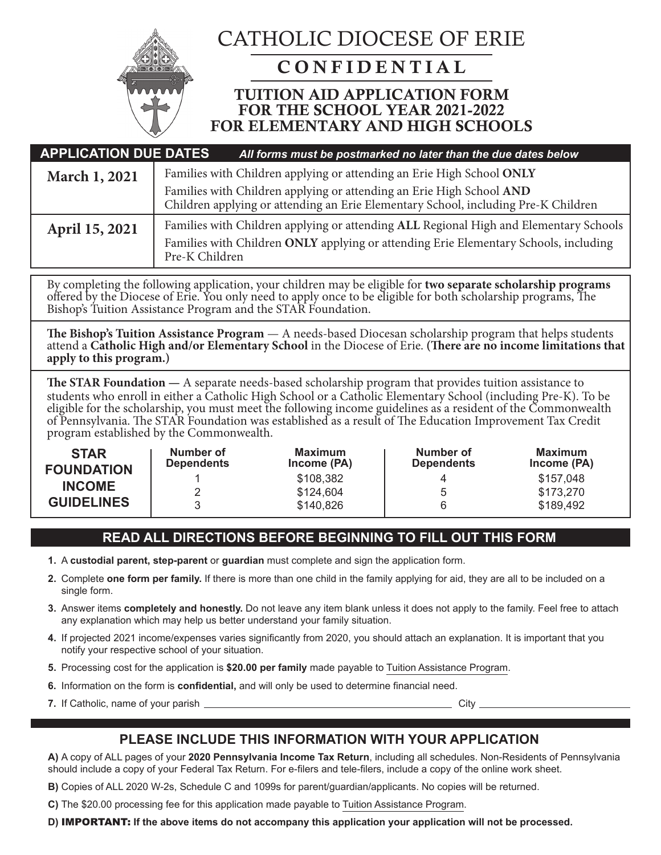

# CATHOLIC DIOCESE OF ERIE

# CONFIDENTIAL

# TUITION AID APPLICATION FORM FOR THE SCHOOL YEAR 2021-2022 FOR ELEMENTARY AND HIGH SCHOOLS

| <b>APPLICATION DUE DATES</b> | All forms must be postmarked no later than the due dates below                                                                                                                                  |
|------------------------------|-------------------------------------------------------------------------------------------------------------------------------------------------------------------------------------------------|
| March 1, 2021                | Families with Children applying or attending an Erie High School ONLY                                                                                                                           |
|                              | Families with Children applying or attending an Erie High School AND<br>Children applying or attending an Erie Elementary School, including Pre-K Children                                      |
| April 15, 2021               | Families with Children applying or attending ALL Regional High and Elementary Schools<br>Families with Children ONLY applying or attending Erie Elementary Schools, including<br>Pre-K Children |

By completing the following application, your children may be eligible for **two separate scholarship programs** offered by the Diocese of Erie. You only need to apply once to be eligible for both scholarship programs, The Bishop's Tuition Assistance Program and the STAR Foundation.

The Bishop's Tuition Assistance Program - A needs-based Diocesan scholarship program that helps students<br>attend a Catholic High and/or Elementary School in the Diocese of Erie. (There are no income limitations that **apply to this program.)**

**The STAR Foundation —** A separate needs-based scholarship program that provides tuition assistance to students who enroll in either a Catholic High School or a Catholic Elementary School (including Pre-K). To be eligible for the scholarship, you must meet the following income guidelines as a resident of the Commonwealth of Pennsylvania. The STAR Foundation was established as a result of The Education Improvement Tax Credit program established by the Commonwealth.

| <b>STAR</b><br><b>FOUNDATION</b> | Number of<br><b>Dependents</b> | Maximum<br>Income (PA) | Number of<br><b>Dependents</b> | Maximum<br>Income (PA) |
|----------------------------------|--------------------------------|------------------------|--------------------------------|------------------------|
| <b>INCOME</b>                    |                                | \$108,382              | 4                              | \$157,048              |
|                                  | 2                              | \$124,604              | 5                              | \$173,270              |
| <b>GUIDELINES</b>                | 3                              | \$140,826              |                                | \$189,492              |

### **READ ALL DIRECTIONS BEFORE BEGINNING TO FILL OUT THIS FORM**

- **1.** A **custodial parent, step-parent** or **guardian** must complete and sign the application form.
- **2.** Complete **one form per family.** If there is more than one child in the family applying for aid, they are all to be included on a single form.
- **3.** Answer items **completely and honestly.** Do not leave any item blank unless it does not apply to the family. Feel free to attach any explanation which may help us better understand your family situation.
- **4.** If projected 2021 income/expenses varies significantly from 2020, you should attach an explanation. It is important that you notify your respective school of your situation.
- **5.** Processing cost for the application is **\$20.00 per family** made payable to Tuition Assistance Program.
- **6.** Information on the form is **confidential,** and will only be used to determine financial need.
- **7.** If Catholic, name of your parish <u>Community City of City City</u>

### **PLEASE INCLUDE THIS INFORMATION WITH YOUR APPLICATION**

**A)** A copy of ALL pages of your **2020 Pennsylvania Income Tax Return**, including all schedules. Non-Residents of Pennsylvania should include a copy of your Federal Tax Return. For e-filers and tele-filers, include a copy of the online work sheet.

**B)** Copies of ALL 2020 W-2s, Schedule C and 1099s for parent/guardian/applicants. No copies will be returned.

**C)** The \$20.00 processing fee for this application made payable to Tuition Assistance Program.

**D)** IMPORTANT: **If the above items do not accompany this application your application will not be processed.**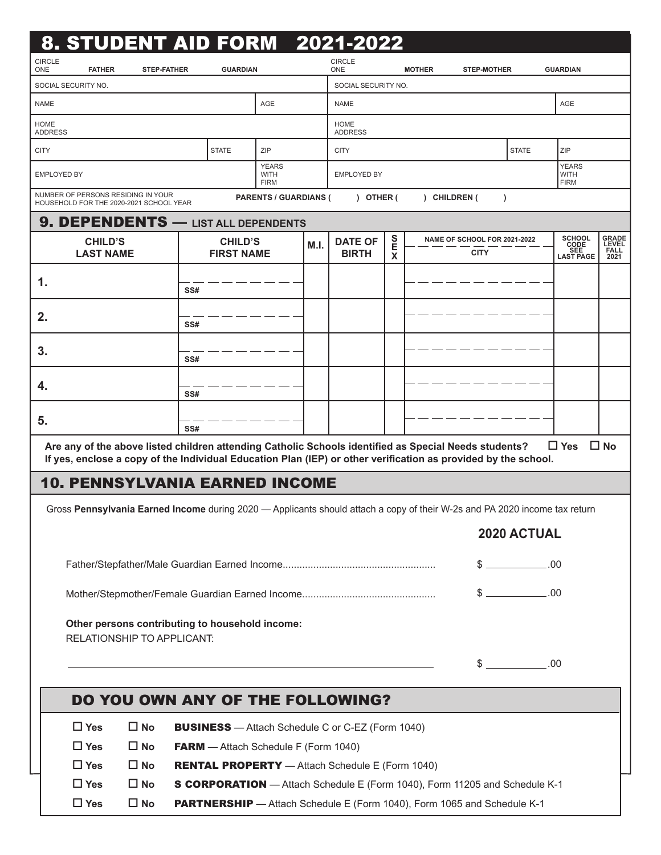|                                                                     | 8. STUDENT AID FORM 2021-2022                                                                                                                                                                                           |                                                                        |     |                                     |                                     |      |                                  |             |               |                                             |              |                                            |                                              |
|---------------------------------------------------------------------|-------------------------------------------------------------------------------------------------------------------------------------------------------------------------------------------------------------------------|------------------------------------------------------------------------|-----|-------------------------------------|-------------------------------------|------|----------------------------------|-------------|---------------|---------------------------------------------|--------------|--------------------------------------------|----------------------------------------------|
| <b>CIRCLE</b><br>ONE                                                | <b>FATHER</b>                                                                                                                                                                                                           | <b>STEP-FATHER</b>                                                     |     | <b>GUARDIAN</b>                     |                                     |      | <b>CIRCLE</b><br>ONE             |             | <b>MOTHER</b> | <b>STEP-MOTHER</b>                          |              | <b>GUARDIAN</b>                            |                                              |
|                                                                     | SOCIAL SECURITY NO.                                                                                                                                                                                                     |                                                                        |     |                                     |                                     |      | SOCIAL SECURITY NO.              |             |               |                                             |              |                                            |                                              |
| <b>NAME</b>                                                         |                                                                                                                                                                                                                         |                                                                        |     |                                     | <b>AGE</b>                          |      | <b>NAME</b>                      |             |               |                                             |              | AGE                                        |                                              |
| <b>HOME</b><br><b>ADDRESS</b>                                       |                                                                                                                                                                                                                         |                                                                        |     |                                     |                                     |      | <b>HOME</b><br><b>ADDRESS</b>    |             |               |                                             |              |                                            |                                              |
| <b>CITY</b>                                                         |                                                                                                                                                                                                                         |                                                                        |     | <b>STATE</b>                        | ZIP                                 |      | <b>CITY</b>                      |             |               |                                             | <b>STATE</b> | ZIP                                        |                                              |
|                                                                     | <b>EMPLOYED BY</b>                                                                                                                                                                                                      |                                                                        |     |                                     | <b>YEARS</b><br>WITH<br><b>FIRM</b> |      | <b>EMPLOYED BY</b>               |             |               |                                             |              | <b>YEARS</b><br><b>WITH</b><br><b>FIRM</b> |                                              |
|                                                                     | NUMBER OF PERSONS RESIDING IN YOUR<br>HOUSEHOLD FOR THE 2020-2021 SCHOOL YEAR                                                                                                                                           |                                                                        |     |                                     | <b>PARENTS / GUARDIANS (</b>        |      | ) OTHER (                        |             | ) CHILDREN (  | $\lambda$                                   |              |                                            |                                              |
|                                                                     | 9. DEPENDENTS - LIST ALL DEPENDENTS                                                                                                                                                                                     |                                                                        |     |                                     |                                     |      |                                  |             |               |                                             |              |                                            |                                              |
|                                                                     | <b>CHILD'S</b><br><b>LAST NAME</b>                                                                                                                                                                                      |                                                                        |     | <b>CHILD'S</b><br><b>FIRST NAME</b> |                                     | M.I. | <b>DATE OF</b><br><b>BIRTH</b>   | S<br>Е<br>X |               | NAME OF SCHOOL FOR 2021-2022<br><b>CITY</b> |              | SCHOOL<br>CODE<br>SEE<br>LAST PAGE         | <b>GRADE</b><br>LEVEL<br><b>FALL</b><br>2021 |
| 1.                                                                  |                                                                                                                                                                                                                         |                                                                        | SS# |                                     |                                     |      |                                  |             |               |                                             |              |                                            |                                              |
| 2.                                                                  |                                                                                                                                                                                                                         |                                                                        | SS# |                                     |                                     |      |                                  |             |               |                                             |              |                                            |                                              |
| 3.                                                                  |                                                                                                                                                                                                                         |                                                                        | SS# |                                     |                                     |      |                                  |             |               |                                             |              |                                            |                                              |
| 4.                                                                  |                                                                                                                                                                                                                         |                                                                        | SS# |                                     |                                     |      |                                  |             |               |                                             |              |                                            |                                              |
| 5.                                                                  |                                                                                                                                                                                                                         |                                                                        | SS# |                                     |                                     |      |                                  |             |               |                                             |              |                                            |                                              |
|                                                                     | Are any of the above listed children attending Catholic Schools identified as Special Needs students?<br>If yes, enclose a copy of the Individual Education Plan (IEP) or other verification as provided by the school. |                                                                        |     |                                     |                                     |      |                                  |             |               |                                             |              | $\Box$ Yes                                 | $\square$ No                                 |
|                                                                     | <b>10. PENNSYLVANIA EARNED INCOME</b>                                                                                                                                                                                   |                                                                        |     |                                     |                                     |      |                                  |             |               |                                             |              |                                            |                                              |
|                                                                     |                                                                                                                                                                                                                         |                                                                        |     |                                     |                                     |      |                                  |             |               |                                             |              |                                            |                                              |
|                                                                     | Gross Pennsylvania Earned Income during 2020 - Applicants should attach a copy of their W-2s and PA 2020 income tax return<br>2020 ACTUAL                                                                               |                                                                        |     |                                     |                                     |      |                                  |             |               |                                             |              |                                            |                                              |
|                                                                     |                                                                                                                                                                                                                         |                                                                        |     |                                     |                                     |      |                                  |             |               |                                             | $$$ .00      |                                            |                                              |
|                                                                     |                                                                                                                                                                                                                         |                                                                        |     |                                     |                                     |      |                                  |             |               |                                             | $$$ .00      |                                            |                                              |
|                                                                     | Other persons contributing to household income:<br>RELATIONSHIP TO APPLICANT:                                                                                                                                           |                                                                        |     |                                     |                                     |      |                                  |             |               |                                             |              |                                            |                                              |
| <u> 1989 - Johann Stein, mars an deus Amerikaansk kommunister (</u> |                                                                                                                                                                                                                         |                                                                        |     |                                     |                                     |      | $$$ .00                          |             |               |                                             |              |                                            |                                              |
|                                                                     |                                                                                                                                                                                                                         |                                                                        |     |                                     |                                     |      | DO YOU OWN ANY OF THE FOLLOWING? |             |               |                                             |              |                                            |                                              |
|                                                                     |                                                                                                                                                                                                                         |                                                                        |     |                                     |                                     |      |                                  |             |               |                                             |              |                                            |                                              |
|                                                                     | $\Box$ Yes<br>$\square$ No<br><b>BUSINESS</b> - Attach Schedule C or C-EZ (Form 1040)<br>$\Box$ Yes<br>$\square$ No<br><b>FARM</b> - Attach Schedule F (Form 1040)                                                      |                                                                        |     |                                     |                                     |      |                                  |             |               |                                             |              |                                            |                                              |
|                                                                     | $\Box$ Yes                                                                                                                                                                                                              | $\square$ No<br><b>RENTAL PROPERTY</b> - Attach Schedule E (Form 1040) |     |                                     |                                     |      |                                  |             |               |                                             |              |                                            |                                              |
|                                                                     | $\Box$ Yes<br>$\square$ No<br>S CORPORATION - Attach Schedule E (Form 1040), Form 11205 and Schedule K-1                                                                                                                |                                                                        |     |                                     |                                     |      |                                  |             |               |                                             |              |                                            |                                              |
|                                                                     | $\Box$ Yes<br>$\square$ No<br>PARTNERSHIP - Attach Schedule E (Form 1040), Form 1065 and Schedule K-1                                                                                                                   |                                                                        |     |                                     |                                     |      |                                  |             |               |                                             |              |                                            |                                              |
|                                                                     |                                                                                                                                                                                                                         |                                                                        |     |                                     |                                     |      |                                  |             |               |                                             |              |                                            |                                              |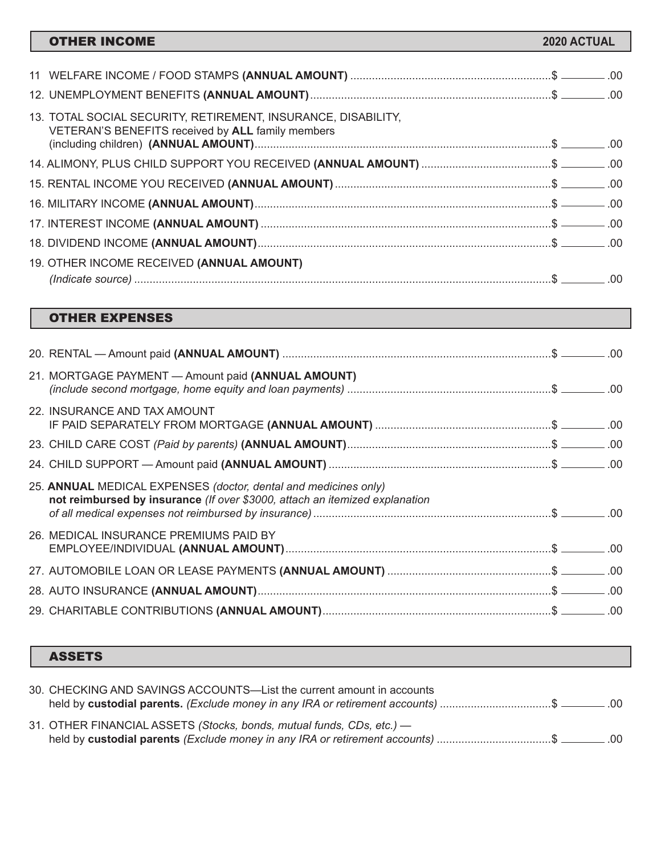| <b>OTHER INCOME</b>                                                                                                | 2020 ACTUAL |  |
|--------------------------------------------------------------------------------------------------------------------|-------------|--|
|                                                                                                                    |             |  |
|                                                                                                                    |             |  |
|                                                                                                                    |             |  |
| 13. TOTAL SOCIAL SECURITY, RETIREMENT, INSURANCE, DISABILITY,<br>VETERAN'S BENEFITS received by ALL family members |             |  |
|                                                                                                                    |             |  |
| 14. ALIMONY, PLUS CHILD SUPPORT YOU RECEIVED (ANNUAL AMOUNT) \$ _______.00                                         |             |  |
|                                                                                                                    |             |  |
|                                                                                                                    |             |  |
|                                                                                                                    |             |  |
|                                                                                                                    |             |  |
| 19. OTHER INCOME RECEIVED (ANNUAL AMOUNT)                                                                          |             |  |
|                                                                                                                    |             |  |

### OTHER EXPENSES

ı

| 21. MORTGAGE PAYMENT - Amount paid (ANNUAL AMOUNT)                                                                                             |  |
|------------------------------------------------------------------------------------------------------------------------------------------------|--|
| 22. INSURANCE AND TAX AMOUNT                                                                                                                   |  |
|                                                                                                                                                |  |
|                                                                                                                                                |  |
| 25. ANNUAL MEDICAL EXPENSES (doctor, dental and medicines only)<br>not reimbursed by insurance (If over \$3000, attach an itemized explanation |  |
| 26. MEDICAL INSURANCE PREMIUMS PAID BY                                                                                                         |  |
|                                                                                                                                                |  |
|                                                                                                                                                |  |
|                                                                                                                                                |  |

## ASSETS

| 30. CHECKING AND SAVINGS ACCOUNTS—List the current amount in accounts<br>held by custodial parents. (Exclude money in any IRA or retirement accounts) \$ _______.00 |  |
|---------------------------------------------------------------------------------------------------------------------------------------------------------------------|--|
| 31. OTHER FINANCIAL ASSETS (Stocks, bonds, mutual funds, CDs, etc.) -<br>held by custodial parents (Exclude money in any IRA or retirement accounts) \$ _______.00  |  |